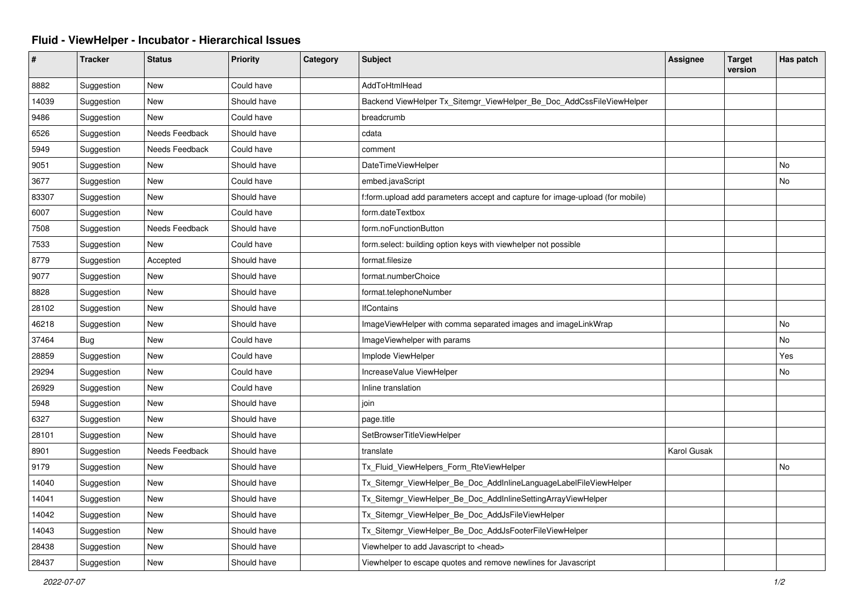## **Fluid - ViewHelper - Incubator - Hierarchical Issues**

| #     | <b>Tracker</b> | <b>Status</b>  | <b>Priority</b> | Category | <b>Subject</b>                                                                | <b>Assignee</b> | <b>Target</b><br>version | Has patch |
|-------|----------------|----------------|-----------------|----------|-------------------------------------------------------------------------------|-----------------|--------------------------|-----------|
| 8882  | Suggestion     | <b>New</b>     | Could have      |          | AddToHtmlHead                                                                 |                 |                          |           |
| 14039 | Suggestion     | New            | Should have     |          | Backend ViewHelper Tx_Sitemgr_ViewHelper_Be_Doc_AddCssFileViewHelper          |                 |                          |           |
| 9486  | Suggestion     | <b>New</b>     | Could have      |          | breadcrumb                                                                    |                 |                          |           |
| 6526  | Suggestion     | Needs Feedback | Should have     |          | cdata                                                                         |                 |                          |           |
| 5949  | Suggestion     | Needs Feedback | Could have      |          | comment                                                                       |                 |                          |           |
| 9051  | Suggestion     | New            | Should have     |          | DateTimeViewHelper                                                            |                 |                          | No        |
| 3677  | Suggestion     | New            | Could have      |          | embed.javaScript                                                              |                 |                          | No        |
| 83307 | Suggestion     | <b>New</b>     | Should have     |          | f:form.upload add parameters accept and capture for image-upload (for mobile) |                 |                          |           |
| 6007  | Suggestion     | <b>New</b>     | Could have      |          | form.dateTextbox                                                              |                 |                          |           |
| 7508  | Suggestion     | Needs Feedback | Should have     |          | form.noFunctionButton                                                         |                 |                          |           |
| 7533  | Suggestion     | <b>New</b>     | Could have      |          | form.select: building option keys with viewhelper not possible                |                 |                          |           |
| 8779  | Suggestion     | Accepted       | Should have     |          | format.filesize                                                               |                 |                          |           |
| 9077  | Suggestion     | New            | Should have     |          | format.numberChoice                                                           |                 |                          |           |
| 8828  | Suggestion     | <b>New</b>     | Should have     |          | format.telephoneNumber                                                        |                 |                          |           |
| 28102 | Suggestion     | New            | Should have     |          | <b>IfContains</b>                                                             |                 |                          |           |
| 46218 | Suggestion     | New            | Should have     |          | ImageViewHelper with comma separated images and imageLinkWrap                 |                 |                          | No        |
| 37464 | <b>Bug</b>     | <b>New</b>     | Could have      |          | ImageViewhelper with params                                                   |                 |                          | No        |
| 28859 | Suggestion     | <b>New</b>     | Could have      |          | Implode ViewHelper                                                            |                 |                          | Yes       |
| 29294 | Suggestion     | New            | Could have      |          | IncreaseValue ViewHelper                                                      |                 |                          | No        |
| 26929 | Suggestion     | New            | Could have      |          | Inline translation                                                            |                 |                          |           |
| 5948  | Suggestion     | New            | Should have     |          | join                                                                          |                 |                          |           |
| 6327  | Suggestion     | New            | Should have     |          | page.title                                                                    |                 |                          |           |
| 28101 | Suggestion     | New            | Should have     |          | SetBrowserTitleViewHelper                                                     |                 |                          |           |
| 8901  | Suggestion     | Needs Feedback | Should have     |          | translate                                                                     | Karol Gusak     |                          |           |
| 9179  | Suggestion     | New            | Should have     |          | Tx_Fluid_ViewHelpers_Form_RteViewHelper                                       |                 |                          | No        |
| 14040 | Suggestion     | New            | Should have     |          | Tx_Sitemgr_ViewHelper_Be_Doc_AddInlineLanguageLabelFileViewHelper             |                 |                          |           |
| 14041 | Suggestion     | New            | Should have     |          | Tx_Sitemgr_ViewHelper_Be_Doc_AddInlineSettingArrayViewHelper                  |                 |                          |           |
| 14042 | Suggestion     | New            | Should have     |          | Tx_Sitemgr_ViewHelper_Be_Doc_AddJsFileViewHelper                              |                 |                          |           |
| 14043 | Suggestion     | New            | Should have     |          | Tx_Sitemgr_ViewHelper_Be_Doc_AddJsFooterFileViewHelper                        |                 |                          |           |
| 28438 | Suggestion     | <b>New</b>     | Should have     |          | Viewhelper to add Javascript to <head></head>                                 |                 |                          |           |
| 28437 | Suggestion     | <b>New</b>     | Should have     |          | Viewhelper to escape quotes and remove newlines for Javascript                |                 |                          |           |